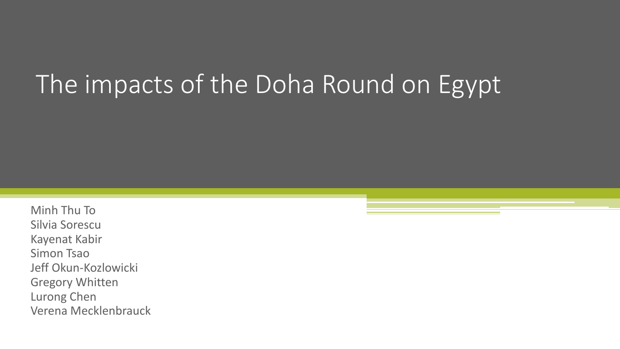## The impacts of the Doha Round on Egypt

Minh Thu To Silvia Sorescu Kayenat Kabir Simon Tsao Jeff Okun-Kozlowicki Gregory Whitten Lurong Chen Verena Mecklenbrauck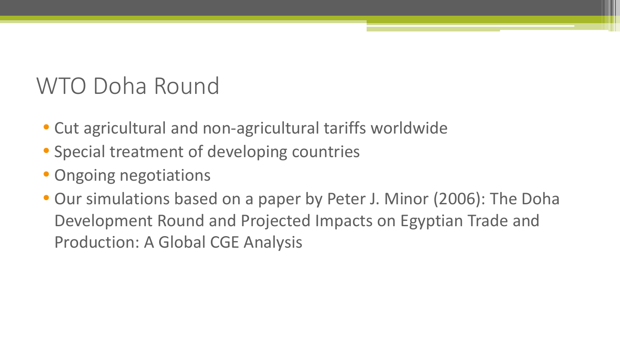#### WTO Doha Round

- Cut agricultural and non-agricultural tariffs worldwide
- Special treatment of developing countries
- Ongoing negotiations
- Our simulations based on a paper by Peter J. Minor (2006): The Doha Development Round and Projected Impacts on Egyptian Trade and Production: A Global CGE Analysis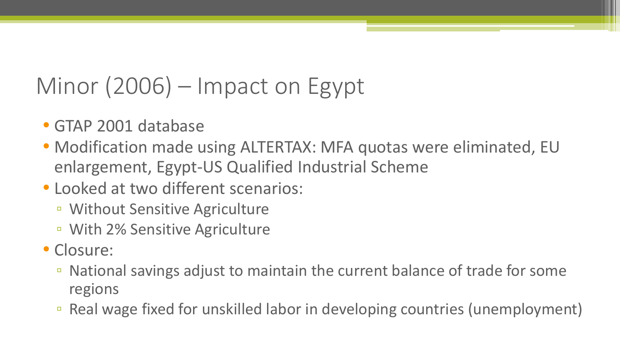### Minor (2006) – Impact on Egypt

- GTAP 2001 database
- Modification made using ALTERTAX: MFA quotas were eliminated, EU enlargement, Egypt-US Qualified Industrial Scheme
- Looked at two different scenarios:
	- Without Sensitive Agriculture
	- With 2% Sensitive Agriculture
- Closure:
	- National savings adjust to maintain the current balance of trade for some regions
	- Real wage fixed for unskilled labor in developing countries (unemployment)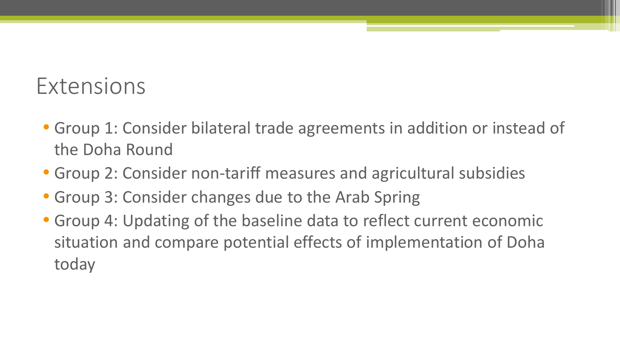#### Extensions

- Group 1: Consider bilateral trade agreements in addition or instead of the Doha Round
- Group 2: Consider non-tariff measures and agricultural subsidies
- Group 3: Consider changes due to the Arab Spring
- Group 4: Updating of the baseline data to reflect current economic situation and compare potential effects of implementation of Doha today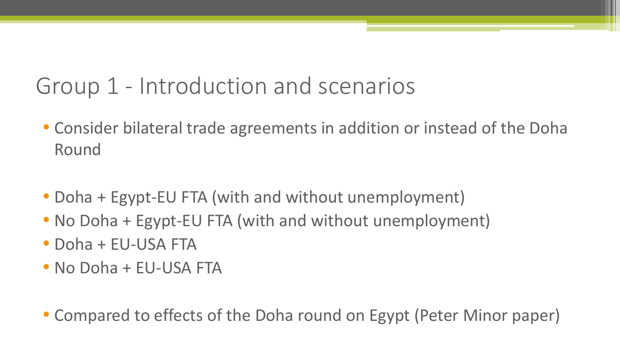#### Group 1 - Introduction and scenarios

- Consider bilateral trade agreements in addition or instead of the Doha Round
- Doha + Egypt-EU FTA (with and without unemployment)
- No Doha + Egypt-EU FTA (with and without unemployment)
- Doha + EU-USA FTA
- No Doha + EU-USA FTA

• Compared to effects of the Doha round on Egypt (Peter Minor paper)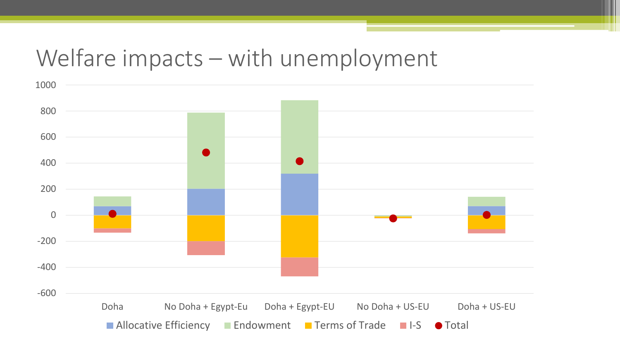#### Welfare impacts – with unemployment

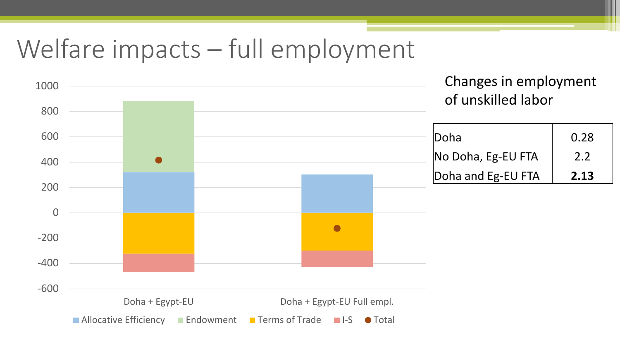## Welfare impacts – full employment

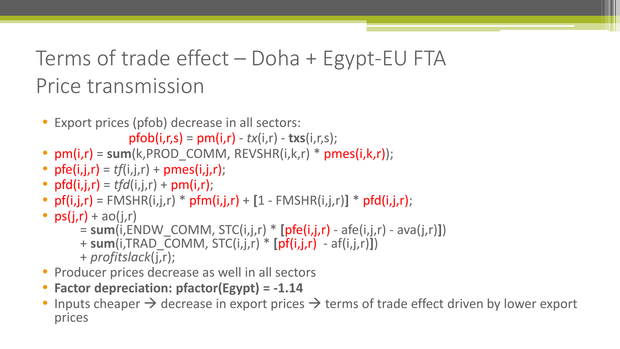#### Terms of trade effect – Doha + Egypt-EU FTA Price transmission

• Export prices (pfob) decrease in all sectors:

 $pfb(i,r,s) = pm(i,r) - tx(i,r) - tx(s(i,r,s));$ 

- $pm(i,r) = sum(k, PROD$  COMM,  $REVSHR(i,k,r) * pmes(i,k,r));$
- $pfe(i,j,r) = tf(i,j,r) + pmes(i,j,r);$
- $pfd(i,j,r) = tfd(i,j,r) + pm(i,r);$
- $pf(i,j,r) = FMSHR(i,j,r) * pfm(i,j,r) + [1 FMSHR(i,j,r)] * pfd(i,j,r);$
- $ps(j,r) + ao(j,r)$ 
	- = **sum**(i,ENDW\_COMM, STC(i,j,r) \* **[**pfe(i,j,r) afe(i,j,r) ava(j,r)**]**)
	- + **sum**(i,TRAD\_COMM, STC(i,j,r) \* **[**pf(i,j,r) af(i,j,r)**]**)
	- + *profitslack*(j,r);
- Producer prices decrease as well in all sectors
- **Factor depreciation: pfactor(Egypt) = -1.14**
- Inputs cheaper  $\rightarrow$  decrease in export prices  $\rightarrow$  terms of trade effect driven by lower export prices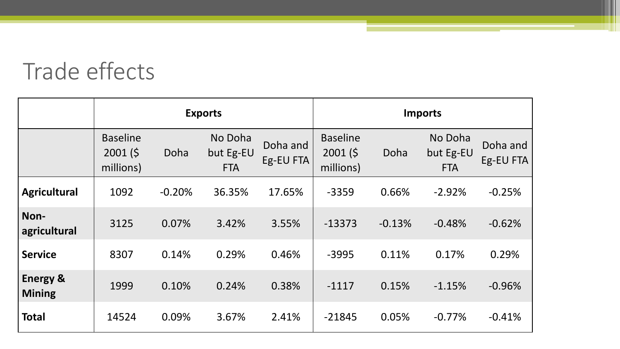#### Trade effects

|                                      | <b>Exports</b>                          |          |                                    |                       | <b>Imports</b>                         |          |                                    |                       |
|--------------------------------------|-----------------------------------------|----------|------------------------------------|-----------------------|----------------------------------------|----------|------------------------------------|-----------------------|
|                                      | <b>Baseline</b><br>2001(5)<br>millions) | Doha     | No Doha<br>but Eg-EU<br><b>FTA</b> | Doha and<br>Eg-EU FTA | <b>Baseline</b><br>2001(5<br>millions) | Doha     | No Doha<br>but Eg-EU<br><b>FTA</b> | Doha and<br>Eg-EU FTA |
| <b>Agricultural</b>                  | 1092                                    | $-0.20%$ | 36.35%                             | 17.65%                | $-3359$                                | 0.66%    | $-2.92%$                           | $-0.25%$              |
| Non-<br>agricultural                 | 3125                                    | 0.07%    | 3.42%                              | 3.55%                 | $-13373$                               | $-0.13%$ | $-0.48%$                           | $-0.62%$              |
| <b>Service</b>                       | 8307                                    | 0.14%    | 0.29%                              | 0.46%                 | $-3995$                                | 0.11%    | 0.17%                              | 0.29%                 |
| <b>Energy &amp;</b><br><b>Mining</b> | 1999                                    | 0.10%    | 0.24%                              | 0.38%                 | $-1117$                                | 0.15%    | $-1.15%$                           | $-0.96%$              |
| <b>Total</b>                         | 14524                                   | 0.09%    | 3.67%                              | 2.41%                 | $-21845$                               | 0.05%    | $-0.77%$                           | $-0.41%$              |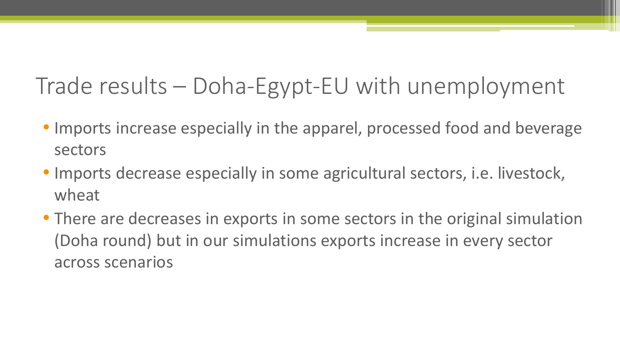#### Trade results – Doha-Egypt-EU with unemployment

- Imports increase especially in the apparel, processed food and beverage sectors
- Imports decrease especially in some agricultural sectors, i.e. livestock, wheat
- There are decreases in exports in some sectors in the original simulation (Doha round) but in our simulations exports increase in every sector across scenarios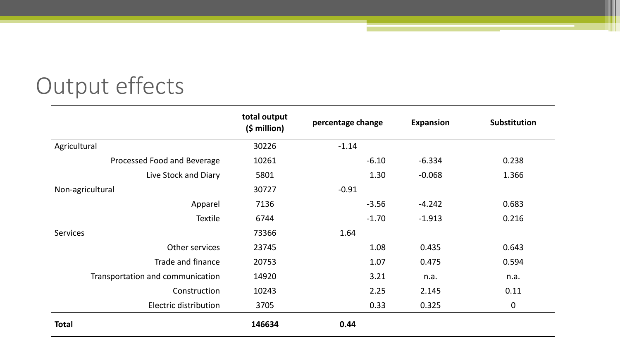### Output effects

|                                  | total output<br>$(5 \text{ million})$ | percentage change | <b>Expansion</b> | Substitution     |
|----------------------------------|---------------------------------------|-------------------|------------------|------------------|
| Agricultural                     | 30226                                 | $-1.14$           |                  |                  |
| Processed Food and Beverage      | 10261                                 | $-6.10$           | $-6.334$         | 0.238            |
| Live Stock and Diary             | 5801                                  | 1.30              | $-0.068$         | 1.366            |
| Non-agricultural                 | 30727                                 | $-0.91$           |                  |                  |
| Apparel                          | 7136                                  | $-3.56$           | $-4.242$         | 0.683            |
| <b>Textile</b>                   | 6744                                  | $-1.70$           | $-1.913$         | 0.216            |
| <b>Services</b>                  | 73366                                 | 1.64              |                  |                  |
| Other services                   | 23745                                 | 1.08              | 0.435            | 0.643            |
| Trade and finance                | 20753                                 | 1.07              | 0.475            | 0.594            |
| Transportation and communication | 14920                                 | 3.21              | n.a.             | n.a.             |
| Construction                     | 10243                                 | 2.25              | 2.145            | 0.11             |
| Electric distribution            | 3705                                  | 0.33              | 0.325            | $\boldsymbol{0}$ |
| <b>Total</b>                     | 146634                                | 0.44              |                  |                  |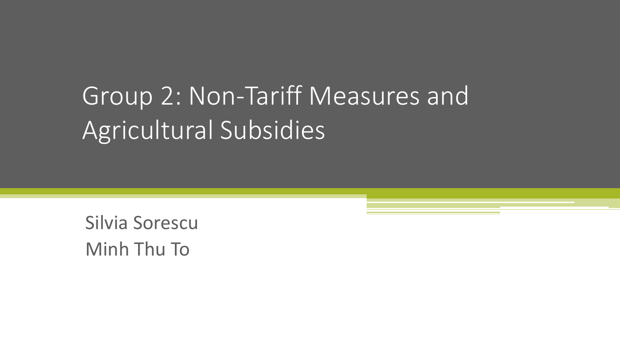# Group 2: Non-Tariff Measures and Agricultural Subsidies

Silvia Sorescu Minh Thu To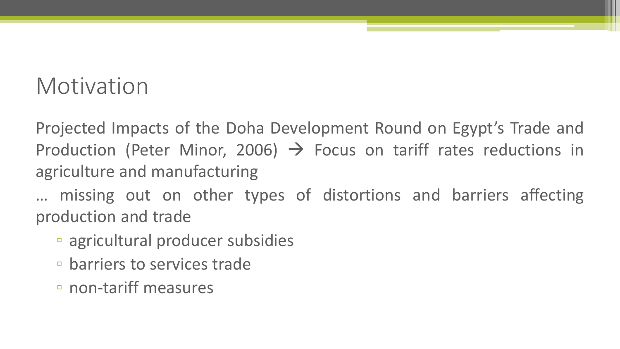#### Motivation

Projected Impacts of the Doha Development Round on Egypt's Trade and Production (Peter Minor, 2006)  $\rightarrow$  Focus on tariff rates reductions in agriculture and manufacturing

… missing out on other types of distortions and barriers affecting production and trade

- agricultural producer subsidies
- barriers to services trade
- non-tariff measures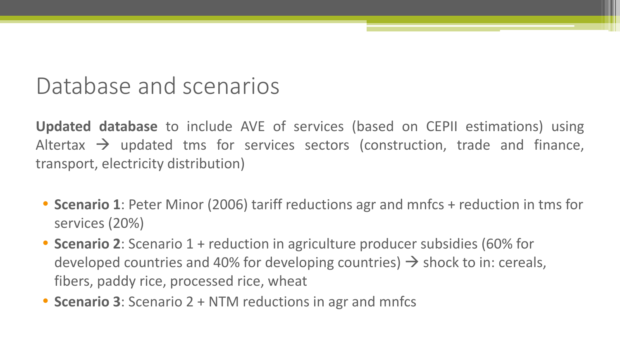#### Database and scenarios

**Updated database** to include AVE of services (based on CEPII estimations) using Altertax  $\rightarrow$  updated tms for services sectors (construction, trade and finance, transport, electricity distribution)

- **Scenario 1**: Peter Minor (2006) tariff reductions agr and mnfcs + reduction in tms for services (20%)
- **Scenario 2**: Scenario 1 + reduction in agriculture producer subsidies (60% for developed countries and 40% for developing countries)  $\rightarrow$  shock to in: cereals, fibers, paddy rice, processed rice, wheat
- **Scenario 3**: Scenario 2 + NTM reductions in agr and mnfcs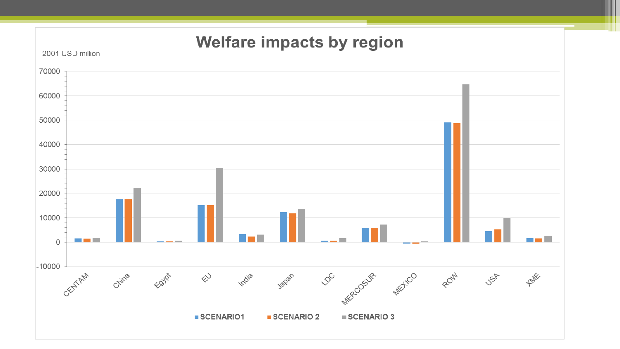#### **Welfare impacts by region**

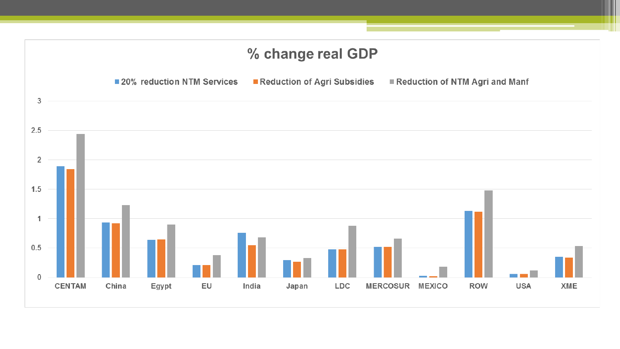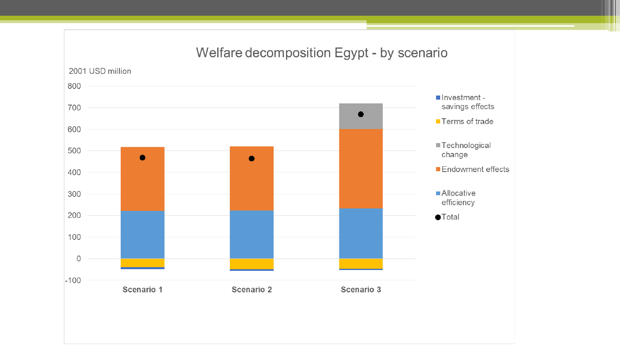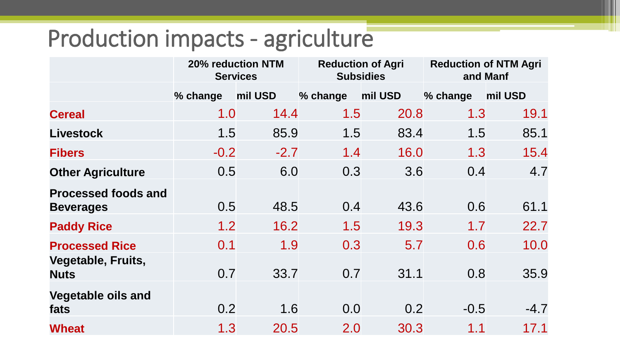#### Production impacts - agriculture

|                                                |          | 20% reduction NTM<br><b>Services</b> |          | <b>Reduction of Agri</b><br><b>Subsidies</b> | <b>Reduction of NTM Agri</b><br>and Manf |         |
|------------------------------------------------|----------|--------------------------------------|----------|----------------------------------------------|------------------------------------------|---------|
|                                                | % change | mil USD                              | % change | mil USD                                      | % change                                 | mil USD |
| <b>Cereal</b>                                  | 1.0      | 14.4                                 | 1.5      | 20.8                                         | 1.3                                      | 19.1    |
| <b>Livestock</b>                               | 1.5      | 85.9                                 | 1.5      | 83.4                                         | 1.5                                      | 85.1    |
| <b>Fibers</b>                                  | $-0.2$   | $-2.7$                               | 1.4      | 16.0                                         | 1.3                                      | 15.4    |
| <b>Other Agriculture</b>                       | 0.5      | 6.0                                  | 0.3      | 3.6                                          | 0.4                                      | 4.7     |
| <b>Processed foods and</b><br><b>Beverages</b> | 0.5      | 48.5                                 | 0.4      | 43.6                                         | 0.6                                      | 61.1    |
| <b>Paddy Rice</b>                              | 1.2      | 16.2                                 | 1.5      | 19.3                                         | 1.7                                      | 22.7    |
| <b>Processed Rice</b>                          | 0.1      | 1.9                                  | 0.3      | 5.7                                          | 0.6                                      | 10.0    |
| Vegetable, Fruits,<br><b>Nuts</b>              | 0.7      | 33.7                                 | 0.7      | 31.1                                         | 0.8                                      | 35.9    |
| <b>Vegetable oils and</b><br>fats              | 0.2      | 1.6                                  | 0.0      | 0.2                                          | $-0.5$                                   | $-4.7$  |
| <b>Wheat</b>                                   | 1.3      | 20.5                                 | 2.0      | 30.3                                         | 1.1                                      | 17.1    |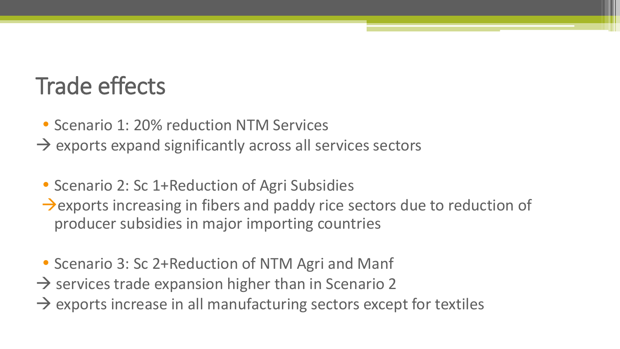#### Trade effects

- Scenario 1: 20% reduction NTM Services
- $\rightarrow$  exports expand significantly across all services sectors
- Scenario 2: Sc 1+Reduction of Agri Subsidies  $\rightarrow$  exports increasing in fibers and paddy rice sectors due to reduction of producer subsidies in major importing countries
- Scenario 3: Sc 2+Reduction of NTM Agri and Manf
- $\rightarrow$  services trade expansion higher than in Scenario 2
- $\rightarrow$  exports increase in all manufacturing sectors except for textiles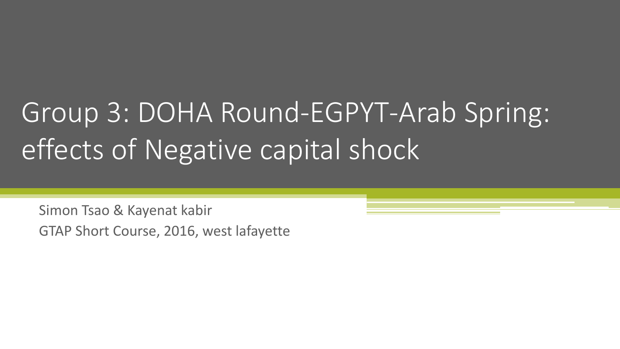# Group 3: DOHA Round-EGPYT-Arab Spring: effects of Negative capital shock

Simon Tsao & Kayenat kabir GTAP Short Course, 2016, west lafayette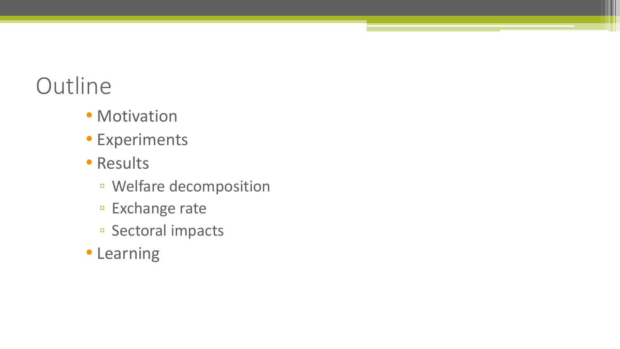#### **Outline**

- Motivation
- Experiments
- Results
	- Welfare decomposition
	- Exchange rate
	- Sectoral impacts
- Learning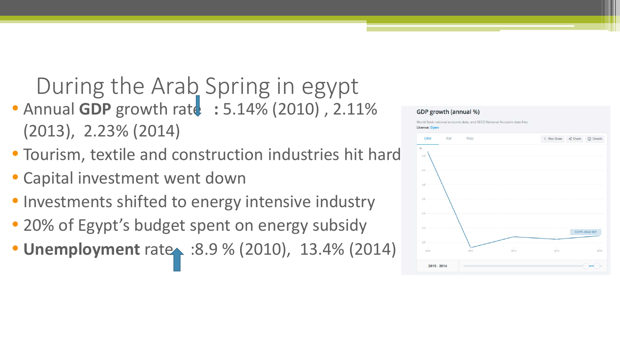During the Arab Spring in egypt • Annual GDP growth ratd: : 5.14% (2010), 2.11% (2013), 2.23% (2014)

- Tourism, textile and construction industries hit hard
- Capital investment went down
- Investments shifted to energy intensive industry
- 20% of Egypt's budget spent on energy subsidy
- **Unemployment** rate : 8.9 % (2010), 13.4% (2014)





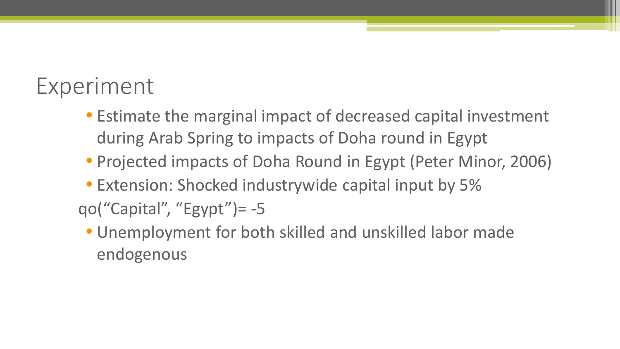#### Experiment

- Estimate the marginal impact of decreased capital investment during Arab Spring to impacts of Doha round in Egypt
- Projected impacts of Doha Round in Egypt (Peter Minor, 2006)
- Extension: Shocked industrywide capital input by 5% qo("Capital", "Egypt") =  $-5$ 
	- Unemployment for both skilled and unskilled labor made endogenous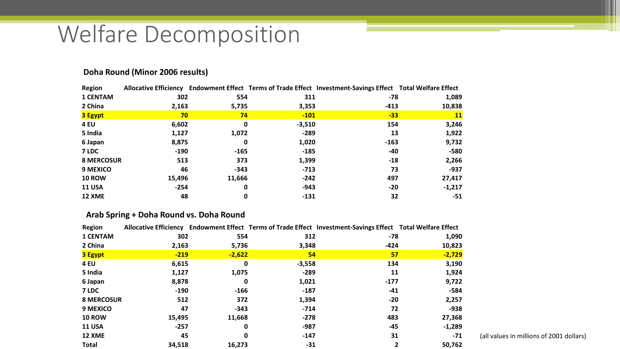#### Welfare Decomposition

| <b>Region</b>     |        |        |          | Allocative Efficiency Endowment Effect Terms of Trade Effect Investment-Savings Effect Total Welfare Effect |           |
|-------------------|--------|--------|----------|-------------------------------------------------------------------------------------------------------------|-----------|
| <b>1 CENTAM</b>   | 302    | 554    | 311      | -78                                                                                                         | 1,089     |
| 2 China           | 2,163  | 5,735  | 3,353    | $-413$                                                                                                      | 10,838    |
| <b>3 Egypt</b>    | 70     | 74     | $-101$   | $-33$                                                                                                       | <b>11</b> |
| <b>4 EU</b>       | 6,602  | 0      | $-3,510$ | 154                                                                                                         | 3,246     |
| 5 India           | 1,127  | 1,072  | -289     | 13                                                                                                          | 1,922     |
| 6 Japan           | 8,875  | 0      | 1,020    | $-163$                                                                                                      | 9,732     |
| 7 LDC             | $-190$ | $-165$ | $-185$   | -40                                                                                                         | -580      |
| <b>8 MERCOSUR</b> | 513    | 373    | 1,399    | $-18$                                                                                                       | 2,266     |
| 9 MEXICO          | 46     | $-343$ | $-713$   | 73                                                                                                          | -937      |
| <b>10 ROW</b>     | 15,496 | 11,666 | $-242$   | 497                                                                                                         | 27,417    |
| <b>11 USA</b>     | $-254$ | 0      | $-943$   | $-20$                                                                                                       | $-1,217$  |
| 12 XME            | 48     | 0      | $-131$   | 32                                                                                                          | -51       |

#### **Doha Round (Minor 2006 results)**

#### **Arab Spring + Doha Round vs. Doha Round**

| Region            |        |          |          | Allocative Efficiency Endowment Effect Terms of Trade Effect Investment-Savings Effect Total Welfare Effect |          |
|-------------------|--------|----------|----------|-------------------------------------------------------------------------------------------------------------|----------|
| <b>1 CENTAM</b>   | 302    | 554      | 312      | -78                                                                                                         | 1,090    |
| 2 China           | 2,163  | 5,736    | 3,348    | $-424$                                                                                                      | 10,823   |
| <b>3 Egypt</b>    | $-219$ | $-2,622$ | 54       | 57                                                                                                          | $-2,729$ |
| <b>4 EU</b>       | 6,615  | 0        | $-3,558$ | 134                                                                                                         | 3,190    |
| 5 India           | 1,127  | 1,075    | $-289$   | 11                                                                                                          | 1,924    |
| 6 Japan           | 8,878  | 0        | 1,021    | $-177$                                                                                                      | 9,722    |
| 7 LDC             | $-190$ | -166     | $-187$   | $-41$                                                                                                       | -584     |
| <b>8 MERCOSUR</b> | 512    | 372      | 1,394    | $-20$                                                                                                       | 2,257    |
| 9 MEXICO          | 47     | $-343$   | $-714$   | 72                                                                                                          | $-938$   |
| <b>10 ROW</b>     | 15,495 | 11,668   | $-278$   | 483                                                                                                         | 27,368   |
| <b>11 USA</b>     | $-257$ | 0        | $-987$   | -45                                                                                                         | $-1,289$ |
| 12 XME            | 45     | 0        | $-147$   | 31                                                                                                          | $-71$    |
| <b>Total</b>      | 34,518 | 16,273   | $-31$    |                                                                                                             | 50,762   |

(all values in millions of 2001 dollars)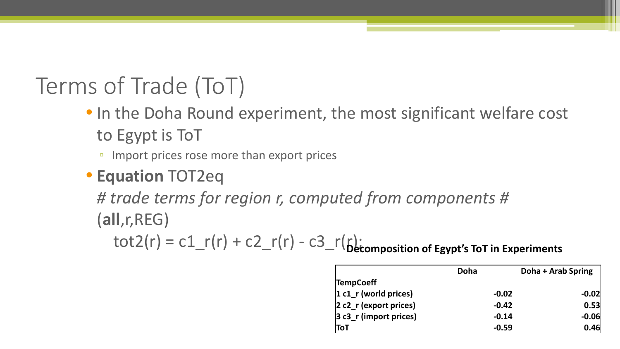### Terms of Trade (ToT)

- In the Doha Round experiment, the most significant welfare cost to Egypt is ToT
	- Import prices rose more than export prices

#### • **Equation** TOT2eq

*# trade terms for region r, computed from components #* (**all**,r,REG)

 $\text{tot2}(r) = c1 - r(r) + c2 - r(r) - c3 - r(r)$ ;<br>**Decomposition of Egypt's ToT** in Experiments

|                           | Doha    | Doha + Arab Spring |
|---------------------------|---------|--------------------|
| <b>TempCoeff</b>          |         |                    |
| $ 1 c1$ r (world prices)  | $-0.02$ | $-0.02$            |
| $ 2 c2_r$ (export prices) | $-0.42$ | 0.53               |
| $ 3 c3_r$ (import prices) | $-0.14$ | $-0.06$            |
| ToT                       | $-0.59$ | 0.46               |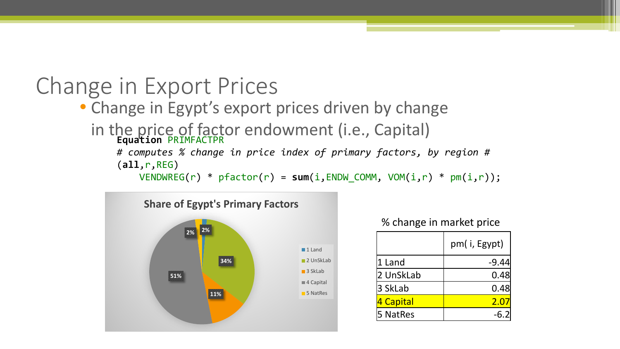#### Change in Export Prices

• Change in Egypt's export prices driven by change

in the price of factor endowment (i.e., Capital) **Equation** PRIMFACTPR

*# computes % change in price index of primary factors, by region #* (**all**,r,REG)

VENDWREG(r) \* pfactor(r) = **sum**(i,ENDW\_COMM, VOM(i,r) \* pm(i,r));



% change in market price

|           | pm(i, Egypt)  |
|-----------|---------------|
| 1 Land    | $-9.44$       |
| 2 UnSkLab | 0.48          |
| 3 SkLab   | 0.48          |
| 4 Capital | $2.0^{\circ}$ |
| 5 NatRes  |               |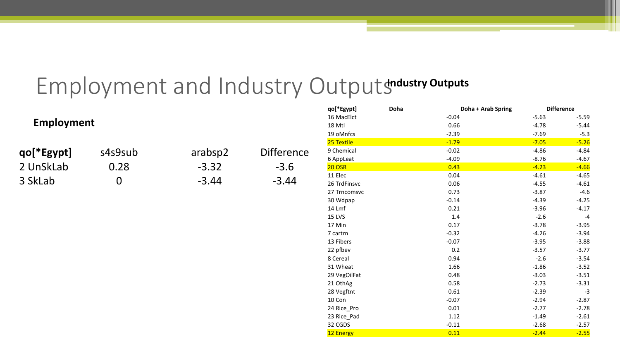#### Employment and Industry Outputshdustry outputs

|                   |                  |         |                   | qo[*Egypt]    | Doha | Doha + Arab Spring | <b>Difference</b> |         |
|-------------------|------------------|---------|-------------------|---------------|------|--------------------|-------------------|---------|
|                   |                  |         |                   | 16 MacElct    |      | $-0.04$            | $-5.63$           | $-5.59$ |
| <b>Employment</b> |                  |         |                   | 18 Mtl        |      | 0.66               | $-4.78$           | $-5.44$ |
|                   |                  |         |                   | 19 oMnfcs     |      | $-2.39$            | $-7.69$           | $-5.3$  |
|                   |                  |         |                   | 25 Textile    |      | $-1.79$            | $-7.05$           | $-5.26$ |
| qo[*Egypt]        | s4s9sub          | arabsp2 | <b>Difference</b> | 9 Chemical    |      | $-0.02$            | $-4.86$           | $-4.84$ |
|                   |                  |         |                   | 6 AppLeat     |      | $-4.09$            | $-8.76$           | $-4.67$ |
| 2 UnSkLab         | 0.28             | $-3.32$ | $-3.6$            | <b>20 OSR</b> |      | 0.43               | $-4.23$           | $-4.66$ |
|                   |                  |         |                   | 11 Elec       |      | 0.04               | $-4.61$           | $-4.65$ |
| 3 SkLab           | $\boldsymbol{0}$ | $-3.44$ | $-3.44$           | 26 TrdFinsvc  |      | 0.06               | $-4.55$           | $-4.61$ |
|                   |                  |         |                   | 27 Trncomsvc  |      | 0.73               | $-3.87$           | $-4.6$  |
|                   |                  |         |                   | 30 Wdpap      |      | $-0.14$            | $-4.39$           | $-4.25$ |
|                   |                  |         |                   | 14 Lmf        |      | 0.21               | $-3.96$           | $-4.17$ |
|                   |                  |         |                   | <b>15 LVS</b> |      | 1.4                | $-2.6$            | $-4$    |
|                   |                  |         |                   | 17 Min        |      | 0.17               | $-3.78$           | $-3.95$ |
|                   |                  |         |                   | 7 cartrn      |      | $-0.32$            | $-4.26$           | $-3.94$ |
|                   |                  |         |                   | 13 Fibers     |      | $-0.07$            | $-3.95$           | $-3.88$ |
|                   |                  |         |                   | 22 pfbev      |      | 0.2                | $-3.57$           | $-3.77$ |
|                   |                  |         |                   | 8 Cereal      |      | 0.94               | $-2.6$            | $-3.54$ |
|                   |                  |         |                   | 31 Wheat      |      | 1.66               | $-1.86$           | $-3.52$ |
|                   |                  |         |                   | 29 VegOilFat  |      | 0.48               | $-3.03$           | $-3.51$ |
|                   |                  |         |                   | 21 OthAg      |      | 0.58               | $-2.73$           | $-3.31$ |
|                   |                  |         |                   | 28 Vegftnt    |      | 0.61               | $-2.39$           | $-3$    |
|                   |                  |         |                   | 10 Con        |      | $-0.07$            | $-2.94$           | $-2.87$ |
|                   |                  |         |                   | 24 Rice_Pro   |      | 0.01               | $-2.77$           | $-2.78$ |
|                   |                  |         |                   | 23 Rice_Pad   |      | 1.12               | $-1.49$           | $-2.61$ |
|                   |                  |         |                   | 32 CGDS       |      | $-0.11$            | $-2.68$           | $-2.57$ |
|                   |                  |         |                   | 12 Energy     |      | 0.11               | $-2.44$           | $-2.55$ |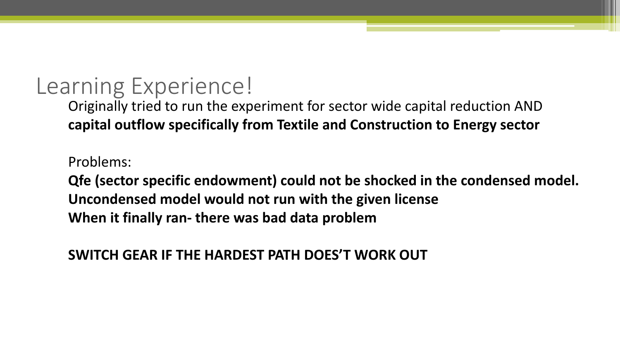#### Learning Experience!

Originally tried to run the experiment for sector wide capital reduction AND **capital outflow specifically from Textile and Construction to Energy sector**

Problems:

**Qfe (sector specific endowment) could not be shocked in the condensed model. Uncondensed model would not run with the given license When it finally ran- there was bad data problem**

**SWITCH GEAR IF THE HARDEST PATH DOES'T WORK OUT**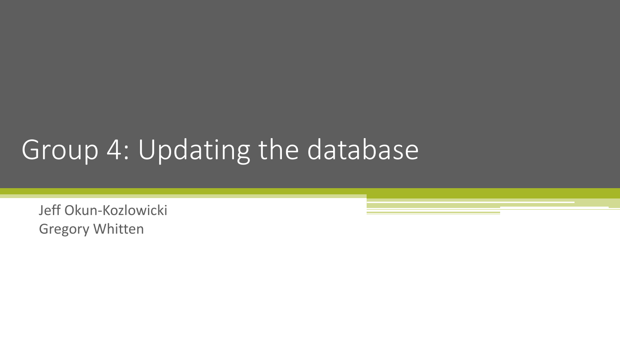## Group 4: Updating the database

Jeff Okun-Kozlowicki Gregory Whitten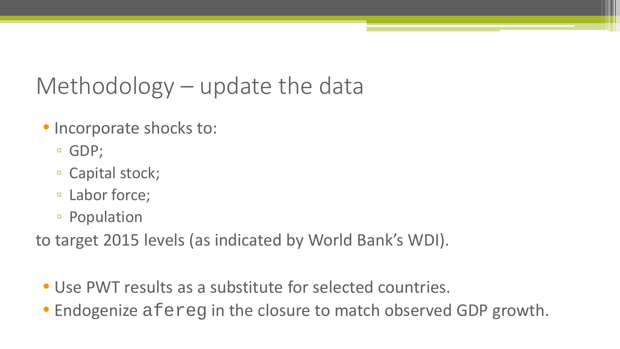#### Methodology – update the data

- Incorporate shocks to:
	- GDP;
	- Capital stock;
	- Labor force;
	- Population

to target 2015 levels (as indicated by World Bank's WDI).

- Use PWT results as a substitute for selected countries.
- Endogenize afereg in the closure to match observed GDP growth.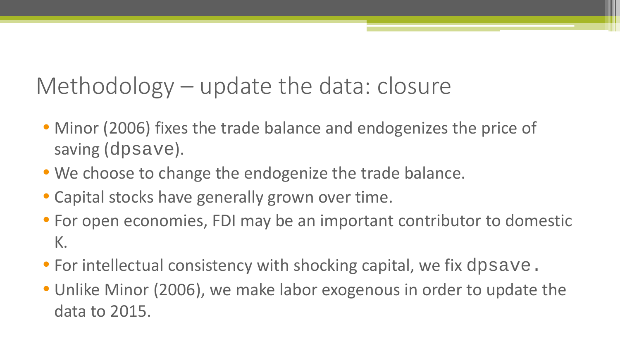#### Methodology – update the data: closure

- Minor (2006) fixes the trade balance and endogenizes the price of saving (dpsave).
- We choose to change the endogenize the trade balance.
- Capital stocks have generally grown over time.
- For open economies, FDI may be an important contributor to domestic K.
- For intellectual consistency with shocking capital, we fix dpsave.
- Unlike Minor (2006), we make labor exogenous in order to update the data to 2015.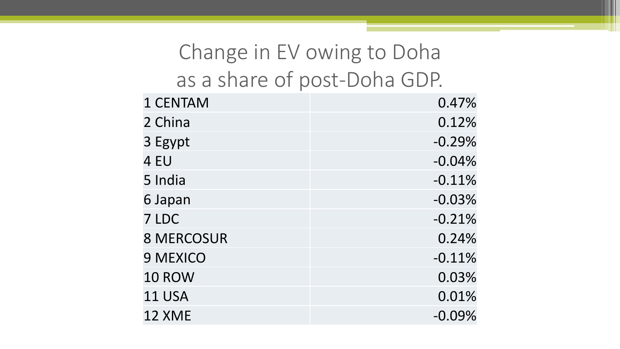#### Change in EV owing to Doha as a share of post-Doha GDP.

| 1 CENTAM          | 0.47%    |
|-------------------|----------|
| 2 China           | 0.12%    |
| 3 Egypt           | $-0.29%$ |
| 4 EU              | $-0.04%$ |
| 5 India           | $-0.11%$ |
| 6 Japan           | $-0.03%$ |
| 7 LDC             | $-0.21%$ |
| <b>8 MERCOSUR</b> | 0.24%    |
| <b>9 MEXICO</b>   | $-0.11%$ |
| <b>10 ROW</b>     | 0.03%    |
| <b>11 USA</b>     | 0.01%    |
| 12 XME            | $-0.09%$ |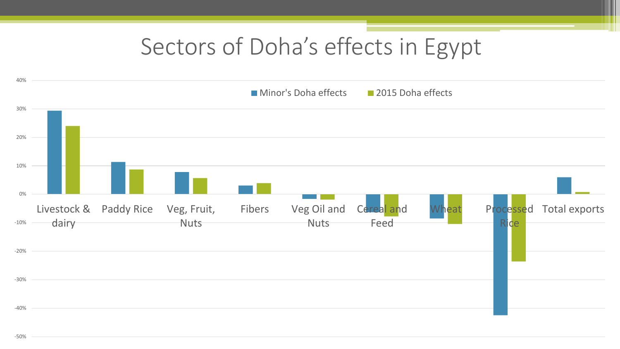#### Sectors of Doha's effects in Egypt

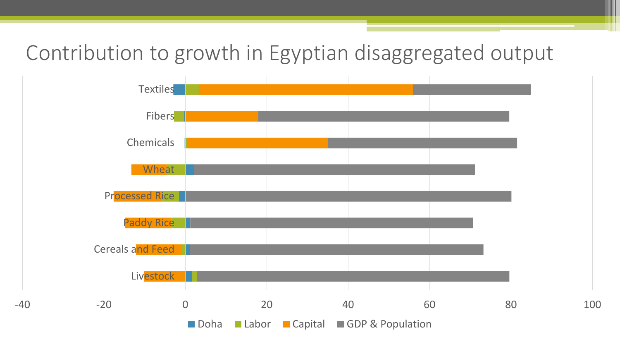Contribution to growth in Egyptian disaggregated output

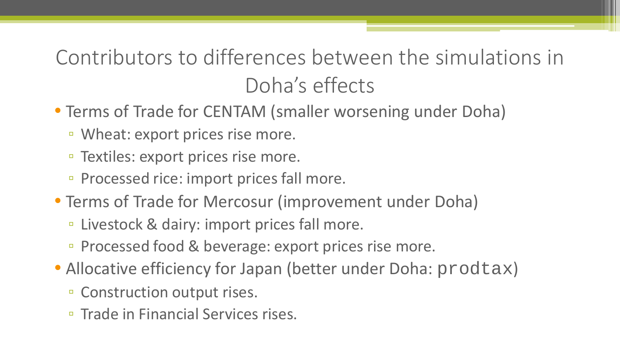#### Contributors to differences between the simulations in Doha's effects

- Terms of Trade for CENTAM (smaller worsening under Doha)
	- Wheat: export prices rise more.
	- Textiles: export prices rise more.
	- Processed rice: import prices fall more.
- Terms of Trade for Mercosur (improvement under Doha)
	- Livestock & dairy: import prices fall more.
	- Processed food & beverage: export prices rise more.
- Allocative efficiency for Japan (better under Doha: prodtax)
	- Construction output rises.
	- Trade in Financial Services rises.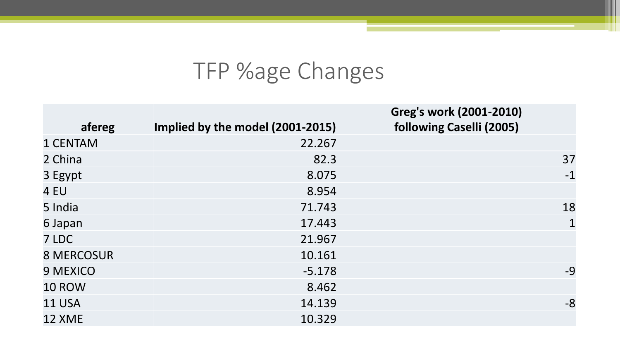#### TFP %age Changes

| afereg            | Implied by the model (2001-2015) | Greg's work (2001-2010)<br>following Caselli (2005) |
|-------------------|----------------------------------|-----------------------------------------------------|
| 1 CENTAM          | 22.267                           |                                                     |
| 2 China           | 82.3                             | 37                                                  |
| 3 Egypt           | 8.075                            | $-1$                                                |
| 4 EU              | 8.954                            |                                                     |
| 5 India           | 71.743                           | 18                                                  |
| 6 Japan           | 17.443                           | $\mathbf{1}$                                        |
| 7 LDC             | 21.967                           |                                                     |
| <b>8 MERCOSUR</b> | 10.161                           |                                                     |
| <b>9 MEXICO</b>   | $-5.178$                         | $-9$                                                |
| <b>10 ROW</b>     | 8.462                            |                                                     |
| <b>11 USA</b>     | 14.139                           | $-8$                                                |
| <b>12 XME</b>     | 10.329                           |                                                     |